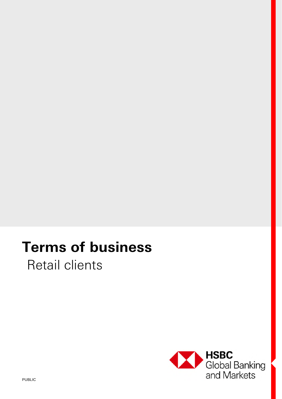# **Terms of business**

Retail clients

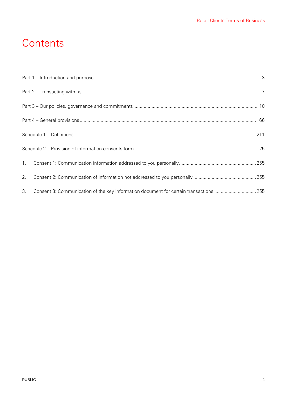# **Contents**

| 2. |                                                                                       |  |  |
|----|---------------------------------------------------------------------------------------|--|--|
| 3. | Consent 3: Communication of the key information document for certain transactions 255 |  |  |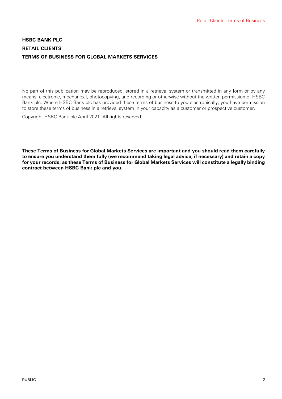# **HSBC BANK PLC RETAIL CLIENTS TERMS OF BUSINESS FOR GLOBAL MARKETS SERVICES**

No part of this publication may be reproduced, stored in a retrieval system or transmitted in any form or by any means, electronic, mechanical, photocopying, and recording or otherwise without the written permission of HSBC Bank plc. Where HSBC Bank plc has provided these terms of business to you electronically, you have permission to store these terms of business in a retrieval system in your capacity as a customer or prospective customer.

Copyright HSBC Bank plc April 2021. All rights reserved

**These Terms of Business for Global Markets Services are important and you should read them carefully to ensure you understand them fully (we recommend taking legal advice, if necessary) and retain a copy for your records, as these Terms of Business for Global Markets Services will constitute a legally binding contract between HSBC Bank plc and you.**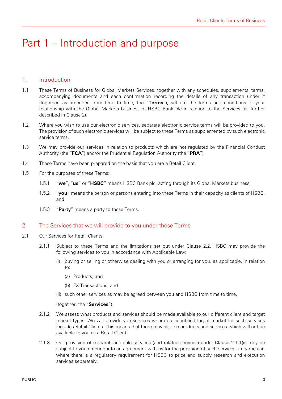# Part 1 – Introduction and purpose

# 1. Introduction

- 1.1 These Terms of Business for Global Markets Services, together with any schedules, supplemental terms, accompanying documents and each confirmation recording the details of any transaction under it (together, as amended from time to time, the "**Terms**"), set out the terms and conditions of your relationship with the Global Markets business of HSBC Bank plc in relation to the Services (as further described in Clause 2).
- 1.2 Where you wish to use our electronic services, separate electronic service terms will be provided to you. The provision of such electronic services will be subject to these Terms as supplemented by such electronic service terms.
- 1.3 We may provide our services in relation to products which are not regulated by the Financial Conduct Authority (the "**FCA**") and/or the Prudential Regulation Authority (the "**PRA**").
- 1.4 These Terms have been prepared on the basis that you are a Retail Client.
- 1.5 For the purposes of these Terms:
	- 1.5.1 "**we**", "**us**" or "**HSBC**" means HSBC Bank plc, acting through its Global Markets business,
	- 1.5.2 "**you**" means the person or persons entering into these Terms in their capacity as clients of HSBC, and
	- 1.5.3 "**Party**" means a party to these Terms.

### 2. The Services that we will provide to you under these Terms

- 2.1 Our Services for Retail Clients:
	- 2.1.1 Subject to these Terms and the limitations set out under Clause 2.2, HSBC may provide the following services to you in accordance with Applicable Law:
		- (i) buying or selling or otherwise dealing with you or arranging for you, as applicable, in relation  $t_0$ :
			- (a) Products, and
			- (b) FX Transactions, and
		- (ii) such other services as may be agreed between you and HSBC from time to time,

(together, the "**Services**").

- 2.1.2 We assess what products and services should be made available to our different client and target market types. We will provide you services where our identified target market for such services includes Retail Clients. This means that there may also be products and services which will not be available to you as a Retail Client.
- 2.1.3 Our provision of research and sale services (and related services) under Clause 2.1.1(ii) may be subject to you entering into an agreement with us for the provision of such services, in particular, where there is a regulatory requirement for HSBC to price and supply research and execution services separately.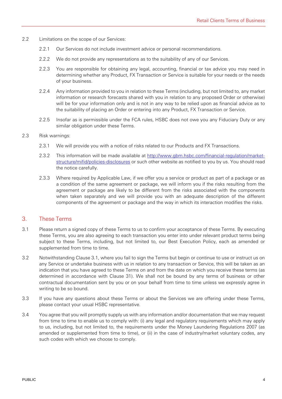- 2.2 Limitations on the scope of our Services:
	- 2.2.1 Our Services do not include investment advice or personal recommendations.
	- 2.2.2 We do not provide any representations as to the suitability of any of our Services.
	- 2.2.3 You are responsible for obtaining any legal, accounting, financial or tax advice you may need in determining whether any Product, FX Transaction or Service is suitable for your needs or the needs of your business.
	- 2.2.4 Any information provided to you in relation to these Terms (including, but not limited to, any market information or research forecasts shared with you in relation to any proposed Order or otherwise) will be for your information only and is not in any way to be relied upon as financial advice as to the suitability of placing an Order or entering into any Product, FX Transaction or Service.
	- 2.2.5 Insofar as is permissible under the FCA rules, HSBC does not owe you any Fiduciary Duty or any similar obligation under these Terms.

#### 2.3 Risk warnings:

- 2.3.1 We will provide you with a notice of risks related to our Products and FX Transactions.
- 2.3.2 This information will be made available at http://www.gbm.hsbc.com/financial-regulation/marketstructure/mifid/policies-disclosures or such other website as notified to you by us. You should read the notice carefully.
- 2.3.3 Where required by Applicable Law, if we offer you a service or product as part of a package or as a condition of the same agreement or package, we will inform you if the risks resulting from the agreement or package are likely to be different from the risks associated with the components when taken separately and we will provide you with an adequate description of the different components of the agreement or package and the way in which its interaction modifies the risks.

#### 3. These Terms

- 3.1 Please return a signed copy of these Terms to us to confirm your acceptance of these Terms. By executing these Terms, you are also agreeing to each transaction you enter into under relevant product terms being subject to these Terms, including, but not limited to, our Best Execution Policy, each as amended or supplemented from time to time.
- 3.2 Notwithstanding Clause 3.1, where you fail to sign the Terms but begin or continue to use or instruct us on any Service or undertake business with us in relation to any transaction or Service, this will be taken as an indication that you have agreed to these Terms on and from the date on which you receive these terms (as determined in accordance with Clause 31). We shall not be bound by any terms of business or other contractual documentation sent by you or on your behalf from time to time unless we expressly agree in writing to be so bound.
- 3.3 If you have any questions about these Terms or about the Services we are offering under these Terms, please contact your usual HSBC representative.
- 3.4 You agree that you will promptly supply us with any information and/or documentation that we may request from time to time to enable us to comply with: (i) any legal and regulatory requirements which may apply to us, including, but not limited to, the requirements under the Money Laundering Regulations 2007 (as amended or supplemented from time to time), or (ii) in the case of industry/market voluntary codes, any such codes with which we choose to comply.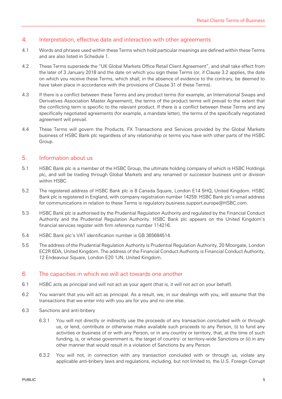### 4. Interpretation, effective date and interaction with other agreements

- 4.1 Words and phrases used within these Terms which hold particular meanings are defined within these Terms and are also listed in Schedule 1.
- 4.2 These Terms supersede the "UK Global Markets Office Retail Client Agreement", and shall take effect from the later of 3 January 2018 and the date on which you sign these Terms (or, if Clause 3.2 applies, the date on which you receive these Terms, which shall, in the absence of evidence to the contrary, be deemed to have taken place in accordance with the provisions of Clause 31 of these Terms).
- 4.3 If there is a conflict between these Terms and any product terms (for example, an International Swaps and Derivatives Association Master Agreement), the terms of the product terms will prevail to the extent that the conflicting term is specific to the relevant product. If there is a conflict between these Terms and any specifically negotiated agreements (for example, a mandate letter), the terms of the specifically negotiated agreement will prevail.
- 4.4 These Terms will govern the Products, FX Transactions and Services provided by the Global Markets business of HSBC Bank plc regardless of any relationship or terms you have with other parts of the HSBC Group.

### 5. Information about us

- 5.1 HSBC Bank plc is a member of the HSBC Group, the ultimate holding company of which is HSBC Holdings plc, and will be trading through Global Markets and any renamed or successor business unit or division within HSBC.
- 5.2 The registered address of HSBC Bank plc is 8 Canada Square, London E14 5HQ, United Kingdom. HSBC Bank plc is registered in England, with company registration number 14259. HSBC Bank plc's email address for communications in relation to these Terms is regulatory.business.support.europe@HSBC.com.
- 5.3 HSBC Bank plc is authorised by the Prudential Regulation Authority and regulated by the Financial Conduct Authority and the Prudential Regulation Authority. HSBC Bank plc appears on the United Kingdom's financial services register with firm reference number 114216.
- 5.4 HSBC Bank plc's VAT identification number is GB 365684514.
- 5.5 The address of the Prudential Regulation Authority is Prudential Regulation Authority, 20 Moorgate, London EC2R 6DA, United Kingdom. The address of the Financial Conduct Authority is Financial Conduct Authority, 12 Endeavour Square, London E20 1JN, United Kingdom.

#### 6. The capacities in which we will act towards one another

- 6.1 HSBC acts as principal and will not act as your agent (that is, it will not act on your behalf).
- 6.2 You warrant that you will act as principal. As a result, we, in our dealings with you, will assume that the transactions that we enter into with you are for you and no one else.
- 6.3 Sanctions and anti-bribery
	- 6.3.1 You will not directly or indirectly use the proceeds of any transaction concluded with or through us, or lend, contribute or otherwise make available such proceeds to any Person, (i) to fund any activities or business of or with any Person, or in any country or territory, that, at the time of such funding, is, or whose government is, the target of country- or territory-wide Sanctions or (ii) in any other manner that would result in a violation of Sanctions by any Person.
	- 6.3.2 You will not, in connection with any transaction concluded with or through us, violate any applicable anti-bribery laws and regulations, including, but not limited to, the U.S. Foreign Corrupt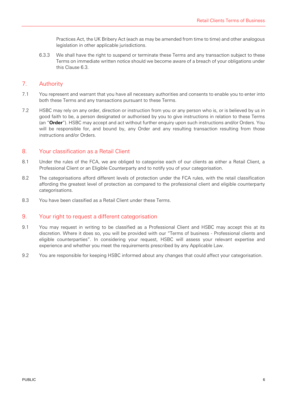Practices Act, the UK Bribery Act (each as may be amended from time to time) and other analogous legislation in other applicable jurisdictions.

6.3.3 We shall have the right to suspend or terminate these Terms and any transaction subject to these Terms on immediate written notice should we become aware of a breach of your obligations under this Clause 6.3.

### 7. Authority

- 7.1 You represent and warrant that you have all necessary authorities and consents to enable you to enter into both these Terms and any transactions pursuant to these Terms.
- 7.2 HSBC may rely on any order, direction or instruction from you or any person who is, or is believed by us in good faith to be, a person designated or authorised by you to give instructions in relation to these Terms (an "**Order**"). HSBC may accept and act without further enquiry upon such instructions and/or Orders. You will be responsible for, and bound by, any Order and any resulting transaction resulting from those instructions and/or Orders.

### 8. Your classification as a Retail Client

- 8.1 Under the rules of the FCA, we are obliged to categorise each of our clients as either a Retail Client, a Professional Client or an Eligible Counterparty and to notify you of your categorisation.
- 8.2 The categorisations afford different levels of protection under the FCA rules, with the retail classification affording the greatest level of protection as compared to the professional client and eligible counterparty categorisations.
- 8.3 You have been classified as a Retail Client under these Terms.

#### 9. Your right to request a different categorisation

- 9.1 You may request in writing to be classified as a Professional Client and HSBC may accept this at its discretion. Where it does so, you will be provided with our "Terms of business - Professional clients and eligible counterparties". In considering your request, HSBC will assess your relevant expertise and experience and whether you meet the requirements prescribed by any Applicable Law.
- 9.2 You are responsible for keeping HSBC informed about any changes that could affect your categorisation.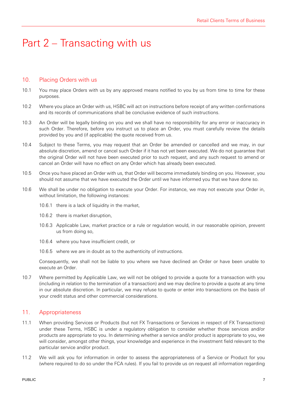# Part 2 – Transacting with us

#### 10. Placing Orders with us

- 10.1 You may place Orders with us by any approved means notified to you by us from time to time for these purposes.
- 10.2 Where you place an Order with us, HSBC will act on instructions before receipt of any written confirmations and its records of communications shall be conclusive evidence of such instructions.
- 10.3 An Order will be legally binding on you and we shall have no responsibility for any error or inaccuracy in such Order. Therefore, before you instruct us to place an Order, you must carefully review the details provided by you and (if applicable) the quote received from us.
- 10.4 Subject to these Terms, you may request that an Order be amended or cancelled and we may, in our absolute discretion, amend or cancel such Order if it has not yet been executed. We do not guarantee that the original Order will not have been executed prior to such request, and any such request to amend or cancel an Order will have no effect on any Order which has already been executed.
- 10.5 Once you have placed an Order with us, that Order will become immediately binding on you. However, you should not assume that we have executed the Order until we have informed you that we have done so.
- 10.6 We shall be under no obligation to execute your Order. For instance, we may not execute your Order in, without limitation, the following instances:
	- 10.6.1 there is a lack of liquidity in the market,
	- 10.6.2 there is market disruption,
	- 10.6.3 Applicable Law, market practice or a rule or regulation would, in our reasonable opinion, prevent us from doing so,
	- 10.6.4 where you have insufficient credit, or
	- 10.6.5 where we are in doubt as to the authenticity of instructions.

Consequently, we shall not be liable to you where we have declined an Order or have been unable to execute an Order.

10.7 Where permitted by Applicable Law, we will not be obliged to provide a quote for a transaction with you (including in relation to the termination of a transaction) and we may decline to provide a quote at any time in our absolute discretion. In particular, we may refuse to quote or enter into transactions on the basis of your credit status and other commercial considerations.

# 11. Appropriateness

- 11.1 When providing Services or Products (but not FX Transactions or Services in respect of FX Transactions) under these Terms, HSBC is under a regulatory obligation to consider whether those services and/or products are appropriate to you. In determining whether a service and/or product is appropriate to you, we will consider, amongst other things, your knowledge and experience in the investment field relevant to the particular service and/or product.
- 11.2 We will ask you for information in order to assess the appropriateness of a Service or Product for you (where required to do so under the FCA rules). If you fail to provide us on request all information regarding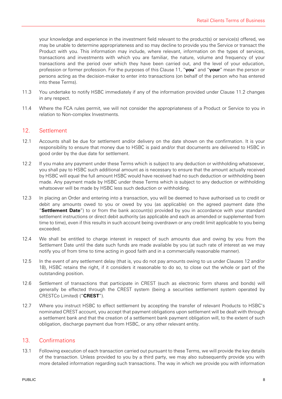your knowledge and experience in the investment field relevant to the product(s) or service(s) offered, we may be unable to determine appropriateness and so may decline to provide you the Service or transact the Product with you. This information may include, where relevant, information on the types of services, transactions and investments with which you are familiar, the nature, volume and frequency of your transactions and the period over which they have been carried out, and the level of your education, profession or former profession. For the purposes of this Clause 11, "**you**" and "**your**" mean the person or persons acting as the decision-maker to enter into transactions (on behalf of the person who has entered into these Terms).

- 11.3 You undertake to notify HSBC immediately if any of the information provided under Clause 11.2 changes in any respect.
- 11.4 Where the FCA rules permit, we will not consider the appropriateness of a Product or Service to you in relation to Non-complex Investments.

# 12. Settlement

- 12.1 Accounts shall be due for settlement and/or delivery on the date shown on the confirmation. It is your responsibility to ensure that money due to HSBC is paid and/or that documents are delivered to HSBC in good order by the due date for settlement.
- 12.2 If you make any payment under these Terms which is subject to any deduction or withholding whatsoever, you shall pay to HSBC such additional amount as is necessary to ensure that the amount actually received by HSBC will equal the full amount HSBC would have received had no such deduction or withholding been made. Any payment made by HSBC under these Terms which is subject to any deduction or withholding whatsoever will be made by HSBC less such deduction or withholding.
- 12.3 In placing an Order and entering into a transaction, you will be deemed to have authorised us to credit or debit any amounts owed to you or owed by you (as applicable) on the agreed payment date (the "**Settlement Date**") to or from the bank account(s) provided by you in accordance with your standard settlement instructions or direct debit authority (as applicable and each as amended or supplemented from time to time), even if this results in such account being overdrawn or any credit limit applicable to you being exceeded.
- 12.4 We shall be entitled to charge interest in respect of such amounts due and owing by you from the Settlement Date until the date such funds are made available by you (at such rate of interest as we may notify you of from time to time acting in good faith and in a commercially reasonable manner).
- 12.5 In the event of any settlement delay (that is, you do not pay amounts owing to us under Clauses 12 and/or 18), HSBC retains the right, if it considers it reasonable to do so, to close out the whole or part of the outstanding position.
- 12.6 Settlement of transactions that participate in CREST (such as electronic form shares and bonds) will generally be effected through the CREST system (being a securities settlement system operated by CRESTCo Limited) ("**CREST**").
- 12.7 Where you instruct HSBC to effect settlement by accepting the transfer of relevant Products to HSBC's nominated CREST account, you accept that payment obligations upon settlement will be dealt with through a settlement bank and that the creation of a settlement bank payment obligation will, to the extent of such obligation, discharge payment due from HSBC, or any other relevant entity.

#### 13. Confirmations

13.1 Following execution of each transaction carried out pursuant to these Terms, we will provide the key details of the transaction. Unless provided to you by a third party, we may also subsequently provide you with more detailed information regarding such transactions. The way in which we provide you with information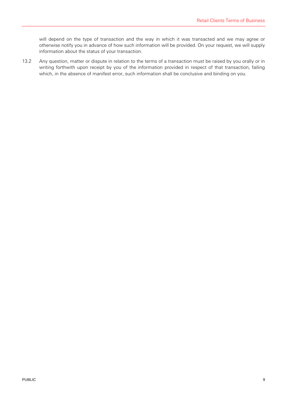will depend on the type of transaction and the way in which it was transacted and we may agree or otherwise notify you in advance of how such information will be provided. On your request, we will supply information about the status of your transaction.

13.2 Any question, matter or dispute in relation to the terms of a transaction must be raised by you orally or in writing forthwith upon receipt by you of the information provided in respect of that transaction, failing which, in the absence of manifest error, such information shall be conclusive and binding on you.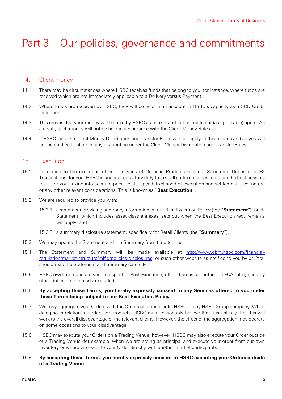# Part 3 – Our policies, governance and commitments

#### 14. Client money

- 14.1 There may be circumstances where HSBC receives funds that belong to you, for instance, where funds are received which are not immediately applicable to a Delivery versus Payment.
- 14.2 Where funds are received by HSBC, they will be held in an account in HSBC's capacity as a CRD Credit Institution.
- 14.3 This means that your money will be held by HSBC as banker and not as trustee or (as applicable) agent. As a result, such money will not be held in accordance with the Client Money Rules.
- 14.4 If HSBC fails, the Client Money Distribution and Transfer Rules will not apply to these sums and so you will not be entitled to share in any distribution under the Client Money Distribution and Transfer Rules.

#### 15. Execution

- 15.1 In relation to the execution of certain types of Order in Products (but not Structured Deposits or FX Transactions) for you, HSBC is under a regulatory duty to take all sufficient steps to obtain the best possible result for you, taking into account price, costs, speed, likelihood of execution and settlement, size, nature or any other relevant considerations. This is known as "**Best Execution**".
- 15.2 We are required to provide you with:
	- 15.2.1 a statement providing summary information on our Best Execution Policy (the "**Statement**"). Such Statement, which includes asset class annexes, sets out when the Best Execution requirements will apply, and
	- 15.2.2 a summary disclosure statement, specifically for Retail Clients (the "**Summary**").
- 15.3 We may update the Statement and the Summary from time to time.
- 15.4 The Statement and Summary will be made available at http://www.gbm.hsbc.com/financialregulation/market-structure/mifid/policies-disclosures, or such other website as notified to you by us. You should read the Statement and Summary carefully.
- 15.5 HSBC owes no duties to you in respect of Best Execution, other than as set out in the FCA rules, and any other duties are expressly excluded.

#### 15.6 **By accepting these Terms, you hereby expressly consent to any Services offered to you under these Terms being subject to our Best Execution Policy**.

- 15.7 We may aggregate your Orders with the Orders of other clients, HSBC or any HSBC Group company. When doing so in relation to Orders for Products, HSBC must reasonably believe that it is unlikely that this will work to the overall disadvantage of the relevant clients. However, the effect of the aggregation may operate on some occasions to your disadvantage.
- 15.8 HSBC may execute your Orders on a Trading Venue, however, HSBC may also execute your Order outside of a Trading Venue (for example, when we are acting as principal and execute your order from our own inventory or where we execute your Order directly with another market participant).
- 15.9 **By accepting these Terms, you hereby expressly consent to HSBC executing your Orders outside of a Trading Venue**.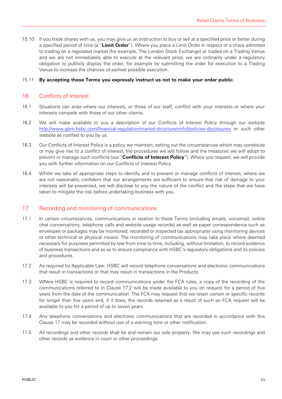15.10 If you trade shares with us, you may give us an instruction to buy or sell at a specified price or better during a specified period of time (a "**Limit Order**"). Where you place a Limit Order in respect of a share admitted to trading on a regulated market (for example, The London Stock Exchange) or traded on a Trading Venue and we are not immediately able to execute at the relevant price, we are ordinarily under a regulatory obligation to publicly display the order, for example by submitting the order for execution to a Trading Venue to increase the chances of earliest possible execution.

#### 15.11 **By accepting these Terms you expressly instruct us not to make your order public**.

#### 16. Conflicts of interest

- 16.1 Situations can arise where our interests, or those of our staff, conflict with your interests or where your interests compete with those of our other clients.
- 16.2 We will make available to you a description of our Conflicts of Interest Policy through our website http://www.gbm.hsbc.com/financial-regulation/market-structure/mifid/policies-disclosures or such other website as notified to you by us.
- 16.3 Our Conflicts of Interest Policy is a policy we maintain, setting out the circumstances which may constitute or may give rise to a conflict of interest, the procedures we will follow and the measures we will adopt to prevent or manage such conflicts (our "**Conflicts of Interest Policy**"). Where you request, we will provide you with further information on our Conflicts of Interest Policy.
- 16.4 Whilst we take all appropriate steps to identify and to prevent or manage conflicts of interest, where we are not reasonably confident that our arrangements are sufficient to ensure that risk of damage to your interests will be prevented, we will disclose to you the nature of the conflict and the steps that we have taken to mitigate the risk before undertaking business with you.

# 17. Recording and monitoring of communications

- 17.1 In certain circumstances, communications in relation to these Terms (including emails, voicemail, online chat conversations, telephone calls and website usage records) as well as paper correspondence such as envelopes or packages may be monitored, recorded or inspected (as appropriate) using monitoring devices or other technical or physical means. The monitoring of communications may take place where deemed necessary for purposes permitted by law from time to time, including, without limitation, to record evidence of business transactions and so as to ensure compliance with HSBC's regulatory obligations and its policies and procedures.
- 17.2 As required by Applicable Law, HSBC will record telephone conversations and electronic communications that result in transactions or that may result in transactions in the Products.
- 17.3 Where HSBC is required to record communications under the FCA rules, a copy of the recording of the communications referred to in Clause 17.2 will be made available to you on request for a period of five years from the date of the communication. The FCA may request that we retain certain or specific records for longer than five years and, if it does, the records retained as a result of such an FCA request will be available to you for a period of up to seven years.
- 17.4 Any telephone conversations and electronic communications that are recorded in accordance with this Clause 17 may be recorded without use of a warning tone or other notification.
- 17.5 All recordings and other records shall be and remain our sole property. We may use such recordings and other records as evidence in court or other proceedings.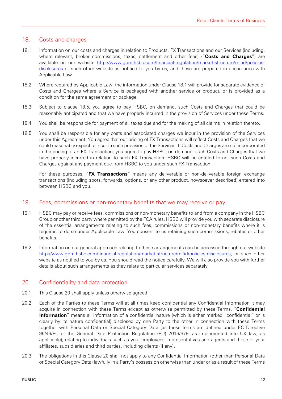### 18. Costs and charges

- 18.1 Information on our costs and charges in relation to Products, FX Transactions and our Services (including, where relevant, broker commissions, taxes, settlement and other fees) ("**Costs and Charges**") are available on our website http://www.gbm.hsbc.com/financial-regulation/market-structure/mifid/policiesdisclosures or such other website as notified to you by us, and these are prepared in accordance with Applicable Law.
- 18.2 Where required by Applicable Law, the information under Clause 18.1 will provide for separate evidence of Costs and Charges where a Service is packaged with another service or product, or is provided as a condition for the same agreement or package.
- 18.3 Subject to clause 18.5, you agree to pay HSBC, on demand, such Costs and Charges that could be reasonably anticipated and that we have properly incurred in the provision of Services under these Terms.
- 18.4 You shall be responsible for payment of all taxes due and for the making of all claims in relation thereto.
- 18.5 You shall be responsible for any costs and associated charges we incur in the provision of the Services under this Agreement. You agree that our pricing of FX Transactions will reflect Costs and Charges that we could reasonably expect to incur in such provision of the Services. If Costs and Charges are not incorporated in the pricing of an FX Transaction, you agree to pay HSBC, on demand, such Costs and Charges that we have properly incurred in relation to such FX Transaction. HSBC will be entitled to net such Costs and Charges against any payment due from HSBC to you under such FX Transaction.

For these purposes, "**FX Transactions**" means any deliverable or non-deliverable foreign exchange transactions (including spots, forwards, options, or any other product, howsoever described) entered into between HSBC and you.

#### 19. Fees, commissions or non-monetary benefits that we may receive or pay

- 19.1 HSBC may pay or receive fees, commissions or non-monetary benefits to and from a company in the HSBC Group or other third party where permitted by the FCA rules. HSBC will provide you with separate disclosure of the essential arrangements relating to such fees, commissions or non-monetary benefits where it is required to do so under Applicable Law. You consent to us retaining such commissions, rebates or other benefits.
- 19.2 Information on our general approach relating to these arrangements can be accessed through our website http://www.gbm.hsbc.com/financial-regulation/market-structure/mifid/policies-disclosures, or such other website as notified to you by us. You should read the notice carefully. We will also provide you with further details about such arrangements as they relate to particular services separately.

#### 20. Confidentiality and data protection

- 20.1 This Clause 20 shall apply unless otherwise agreed.
- 20.2 Each of the Parties to these Terms will at all times keep confidential any Confidential Information it may acquire in connection with these Terms except as otherwise permitted by these Terms. "**Confidential Information**" means all information of a confidential nature (which is either marked "confidential" or is clearly by its nature confidential) disclosed by one Party to the other in connection with these Terms together with Personal Data or Special Category Data (as those terms are defined under EC Directive 95/46/EC or the General Data Protection Regulation (EU) 2016/679, as implemented into UK law, as applicable), relating to individuals such as your employees, representatives and agents and those of your affiliates, subsidiaries and third parties, including clients (if any).
- 20.3 The obligations in this Clause 20 shall not apply to any Confidential Information (other than Personal Data or Special Category Data) lawfully in a Party's possession otherwise than under or as a result of these Terms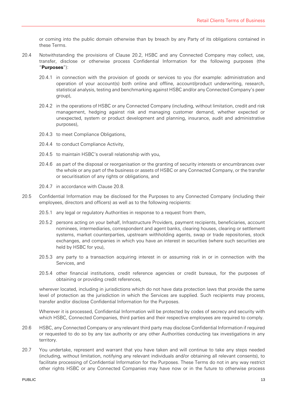or coming into the public domain otherwise than by breach by any Party of its obligations contained in these Terms.

- 20.4 Notwithstanding the provisions of Clause 20.2, HSBC and any Connected Company may collect, use, transfer, disclose or otherwise process Confidential Information for the following purposes (the "**Purposes**"):
	- 20.4.1 in connection with the provision of goods or services to you (for example: administration and operation of your account(s) both online and offline, account/product underwriting, research, statistical analysis, testing and benchmarking against HSBC and/or any Connected Company's peer group),
	- 20.4.2 in the operations of HSBC or any Connected Company (including, without limitation, credit and risk management, hedging against risk and managing customer demand, whether expected or unexpected, system or product development and planning, insurance, audit and administrative purposes),
	- 20.4.3 to meet Compliance Obligations,
	- 20.4.4 to conduct Compliance Activity,
	- 20.4.5 to maintain HSBC's overall relationship with you,
	- 20.4.6 as part of the disposal or reorganisation or the granting of security interests or encumbrances over the whole or any part of the business or assets of HSBC or any Connected Company, or the transfer or securitisation of any rights or obligations, and
	- 20.4.7 in accordance with Clause 20.8.
- 20.5 Confidential Information may be disclosed for the Purposes to any Connected Company (including their employees, directors and officers) as well as to the following recipients:
	- 20.5.1 any legal or regulatory Authorities in response to a request from them,
	- 20.5.2 persons acting on your behalf, Infrastructure Providers, payment recipients, beneficiaries, account nominees, intermediaries, correspondent and agent banks, clearing houses, clearing or settlement systems, market counterparties, upstream withholding agents, swap or trade repositories, stock exchanges, and companies in which you have an interest in securities (where such securities are held by HSBC for you),
	- 20.5.3 any party to a transaction acquiring interest in or assuming risk in or in connection with the Services, and
	- 20.5.4 other financial institutions, credit reference agencies or credit bureaus, for the purposes of obtaining or providing credit references,

wherever located, including in jurisdictions which do not have data protection laws that provide the same level of protection as the jurisdiction in which the Services are supplied. Such recipients may process, transfer and/or disclose Confidential Information for the Purposes.

Wherever it is processed, Confidential Information will be protected by codes of secrecy and security with which HSBC, Connected Companies, third parties and their respective employees are required to comply.

- 20.6 HSBC, any Connected Company or any relevant third party may disclose Confidential Information if required or requested to do so by any tax authority or any other Authorities conducting tax investigations in any territory.
- 20.7 You undertake, represent and warrant that you have taken and will continue to take any steps needed (including, without limitation, notifying any relevant individuals and/or obtaining all relevant consents), to facilitate processing of Confidential Information for the Purposes. These Terms do not in any way restrict other rights HSBC or any Connected Companies may have now or in the future to otherwise process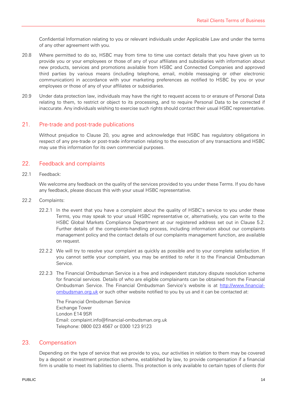Confidential Information relating to you or relevant individuals under Applicable Law and under the terms of any other agreement with you.

- 20.8 Where permitted to do so, HSBC may from time to time use contact details that you have given us to provide you or your employees or those of any of your affiliates and subsidiaries with information about new products, services and promotions available from HSBC and Connected Companies and approved third parties by various means (including telephone, email, mobile messaging or other electronic communication) in accordance with your marketing preferences as notified to HSBC by you or your employees or those of any of your affiliates or subsidiaries.
- 20.9 Under data protection law, individuals may have the right to request access to or erasure of Personal Data relating to them, to restrict or object to its processing, and to require Personal Data to be corrected if inaccurate. Any individuals wishing to exercise such rights should contact their usual HSBC representative.

#### 21. Pre-trade and post-trade publications

Without prejudice to Clause 20, you agree and acknowledge that HSBC has regulatory obligations in respect of any pre-trade or post-trade information relating to the execution of any transactions and HSBC may use this information for its own commercial purposes.

### 22. Feedback and complaints

22.1 Feedback:

We welcome any feedback on the quality of the services provided to you under these Terms. If you do have any feedback, please discuss this with your usual HSBC representative.

- 22.2 Complaints:
	- 22.2.1 In the event that you have a complaint about the quality of HSBC's service to you under these Terms, you may speak to your usual HSBC representative or, alternatively, you can write to the HSBC Global Markets Compliance Department at our registered address set out in Clause 5.2. Further details of the complaints-handling process, including information about our complaints management policy and the contact details of our complaints management function, are available on request.
	- 22.2.2 We will try to resolve your complaint as quickly as possible and to your complete satisfaction. If you cannot settle your complaint, you may be entitled to refer it to the Financial Ombudsman Service.
	- 22.2.3 The Financial Ombudsman Service is a free and independent statutory dispute resolution scheme for financial services. Details of who are eligible complainants can be obtained from the Financial Ombudsman Service. The Financial Ombudsman Service's website is at http://www.financialombudsman.org.uk or such other website notified to you by us and it can be contacted at:

The Financial Ombudsman Service Exchange Tower London E14 9SR Email: complaint.info@financial-ombudsman.org.uk Telephone: 0800 023 4567 or 0300 123 9123

#### 23. Compensation

Depending on the type of service that we provide to you, our activities in relation to them may be covered by a deposit or investment protection scheme, established by law, to provide compensation if a financial firm is unable to meet its liabilities to clients. This protection is only available to certain types of clients (for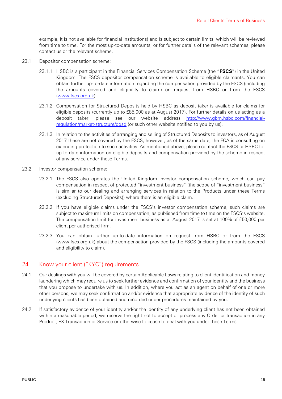example, it is not available for financial institutions) and is subject to certain limits, which will be reviewed from time to time. For the most up-to-date amounts, or for further details of the relevant schemes, please contact us or the relevant scheme.

- 23.1 Depositor compensation scheme:
	- 23.1.1 HSBC is a participant in the Financial Services Compensation Scheme (the "**FSCS**") in the United Kingdom. The FSCS depositor compensation scheme is available to eligible claimants. You can obtain further up-to-date information regarding the compensation provided by the FSCS (including the amounts covered and eligibility to claim) on request from HSBC or from the FSCS (www.fscs.org.uk).
	- 23.1.2 Compensation for Structured Deposits held by HSBC as deposit taker is available for claims for eligible deposits (currently up to £85,000 as at August 2017). For further details on us acting as a deposit taker, please see our website address http://www.gbm.hsbc.com/financialregulation/market-structure/dgsd (or such other website notified to you by us).
	- 23.1.3 In relation to the activities of arranging and selling of Structured Deposits to investors, as of August 2017 these are not covered by the FSCS, however, as of the same date, the FCA is consulting on extending protection to such activities. As mentioned above, please contact the FSCS or HSBC for up-to-date information on eligible deposits and compensation provided by the scheme in respect of any service under these Terms.
- 23.2 Investor compensation scheme:
	- 23.2.1 The FSCS also operates the United Kingdom investor compensation scheme, which can pay compensation in respect of protected "investment business" (the scope of "investment business" is similar to our dealing and arranging services in relation to the Products under these Terms (excluding Structured Deposits)) where there is an eligible claim.
	- 23.2.2 If you have eligible claims under the FSCS's investor compensation scheme, such claims are subject to maximum limits on compensation, as published from time to time on the FSCS's website. The compensation limit for investment business as at August 2017 is set at 100% of £50,000 per client per authorised firm.
	- 23.2.3 You can obtain further up-to-date information on request from HSBC or from the FSCS (www.fscs.org.uk) about the compensation provided by the FSCS (including the amounts covered and eligibility to claim).

#### 24. Know your client ("KYC") requirements

- 24.1 Our dealings with you will be covered by certain Applicable Laws relating to client identification and money laundering which may require us to seek further evidence and confirmation of your identity and the business that you propose to undertake with us. In addition, where you act as an agent on behalf of one or more other persons, we may seek confirmation and/or evidence that appropriate evidence of the identity of such underlying clients has been obtained and recorded under procedures maintained by you.
- 24.2 If satisfactory evidence of your identity and/or the identity of any underlying client has not been obtained within a reasonable period, we reserve the right not to accept or process any Order or transaction in any Product, FX Transaction or Service or otherwise to cease to deal with you under these Terms.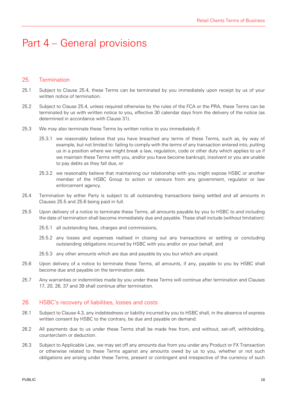# Part 4 – General provisions

#### 25. Termination

- 25.1 Subject to Clause 25.4, these Terms can be terminated by you immediately upon receipt by us of your written notice of termination.
- 25.2 Subject to Clause 25.4, unless required otherwise by the rules of the FCA or the PRA, these Terms can be terminated by us with written notice to you, effective 30 calendar days from the delivery of the notice (as determined in accordance with Clause 31).
- 25.3 We may also terminate these Terms by written notice to you immediately if:
	- 25.3.1 we reasonably believe that you have breached any terms of these Terms, such as, by way of example, but not limited to: failing to comply with the terms of any transaction entered into, putting us in a position where we might break a law, regulation, code or other duty which applies to us if we maintain these Terms with you, and/or you have become bankrupt, insolvent or you are unable to pay debts as they fall due, or
	- 25.3.2 we reasonably believe that maintaining our relationship with you might expose HSBC or another member of the HSBC Group to action or censure from any government, regulator or law enforcement agency.
- 25.4 Termination by either Party is subject to all outstanding transactions being settled and all amounts in Clauses 25.5 and 25.6 being paid in full.
- 25.5 Upon delivery of a notice to terminate these Terms, all amounts payable by you to HSBC to and including the date of termination shall become immediately due and payable. These shall include (without limitation):
	- 25.5.1 all outstanding fees, charges and commissions,
	- 25.5.2 any losses and expenses realised in closing out any transactions or settling or concluding outstanding obligations incurred by HSBC with you and/or on your behalf, and
	- 25.5.3 any other amounts which are due and payable by you but which are unpaid.
- 25.6 Upon delivery of a notice to terminate these Terms, all amounts, if any, payable to you by HSBC shall become due and payable on the termination date.
- 25.7 Any warranties or indemnities made by you under these Terms will continue after termination and Clauses 17, 20, 26, 37 and 39 shall continue after termination.

#### 26. HSBC's recovery of liabilities, losses and costs

- 26.1 Subject to Clause 4.3, any indebtedness or liability incurred by you to HSBC shall, in the absence of express written consent by HSBC to the contrary, be due and payable on demand.
- 26.2 All payments due to us under these Terms shall be made free from, and without, set-off, withholding, counterclaim or deduction.
- 26.3 Subject to Applicable Law, we may set off any amounts due from you under any Product or FX Transaction or otherwise related to these Terms against any amounts owed by us to you, whether or not such obligations are arising under these Terms, present or contingent and irrespective of the currency of such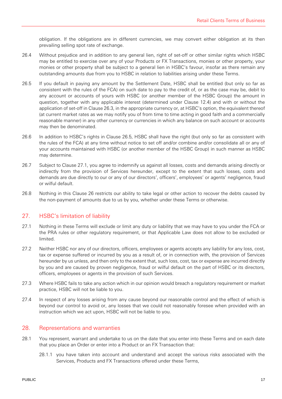obligation. If the obligations are in different currencies, we may convert either obligation at its then prevailing selling spot rate of exchange.

- 26.4 Without prejudice and in addition to any general lien, right of set-off or other similar rights which HSBC may be entitled to exercise over any of your Products or FX Transactions, monies or other property, your monies or other property shall be subject to a general lien in HSBC's favour, insofar as there remain any outstanding amounts due from you to HSBC in relation to liabilities arising under these Terms.
- 26.5 If you default in paying any amount by the Settlement Date, HSBC shall be entitled (but only so far as consistent with the rules of the FCA) on such date to pay to the credit of, or as the case may be, debit to any account or accounts of yours with HSBC (or another member of the HSBC Group) the amount in question, together with any applicable interest (determined under Clause 12.4) and with or without the application of set-off in Clause 26.3, in the appropriate currency or, at HSBC's option, the equivalent thereof (at current market rates as we may notify you of from time to time acting in good faith and a commercially reasonable manner) in any other currency or currencies in which any balance on such account or accounts may then be denominated.
- 26.6 In addition to HSBC's rights in Clause 26.5, HSBC shall have the right (but only so far as consistent with the rules of the FCA) at any time without notice to set off and/or combine and/or consolidate all or any of your accounts maintained with HSBC (or another member of the HSBC Group) in such manner as HSBC may determine.
- 26.7 Subject to Clause 27.1, you agree to indemnify us against all losses, costs and demands arising directly or indirectly from the provision of Services hereunder, except to the extent that such losses, costs and demands are due directly to our or any of our directors', officers', employees' or agents' negligence, fraud or wilful default.
- 26.8 Nothing in this Clause 26 restricts our ability to take legal or other action to recover the debts caused by the non-payment of amounts due to us by you, whether under these Terms or otherwise.

# 27. HSBC's limitation of liability

- 27.1 Nothing in these Terms will exclude or limit any duty or liability that we may have to you under the FCA or the PRA rules or other regulatory requirement, or that Applicable Law does not allow to be excluded or limited.
- 27.2 Neither HSBC nor any of our directors, officers, employees or agents accepts any liability for any loss, cost, tax or expense suffered or incurred by you as a result of, or in connection with, the provision of Services hereunder by us unless, and then only to the extent that, such loss, cost, tax or expense are incurred directly by you and are caused by proven negligence, fraud or wilful default on the part of HSBC or its directors, officers, employees or agents in the provision of such Services.
- 27.3 Where HSBC fails to take any action which in our opinion would breach a regulatory requirement or market practice, HSBC will not be liable to you.
- 27.4 In respect of any losses arising from any cause beyond our reasonable control and the effect of which is beyond our control to avoid or, any losses that we could not reasonably foresee when provided with an instruction which we act upon, HSBC will not be liable to you.

#### 28. Representations and warranties

- 28.1 You represent, warrant and undertake to us on the date that you enter into these Terms and on each date that you place an Order or enter into a Product or an FX Transaction that:
	- 28.1.1 you have taken into account and understand and accept the various risks associated with the Services, Products and FX Transactions offered under these Terms,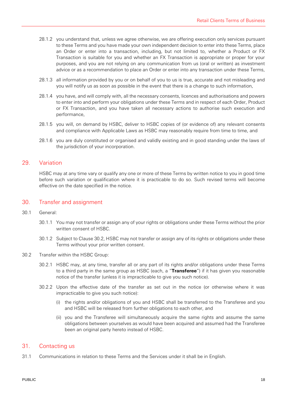- 28.1.2 you understand that, unless we agree otherwise, we are offering execution only services pursuant to these Terms and you have made your own independent decision to enter into these Terms, place an Order or enter into a transaction, including, but not limited to, whether a Product or FX Transaction is suitable for you and whether an FX Transaction is appropriate or proper for your purposes, and you are not relying on any communication from us (oral or written) as investment advice or as a recommendation to place an Order or enter into any transaction under these Terms,
- 28.1.3 all information provided by you or on behalf of you to us is true, accurate and not misleading and you will notify us as soon as possible in the event that there is a change to such information,
- 28.1.4 you have, and will comply with, all the necessary consents, licences and authorisations and powers to enter into and perform your obligations under these Terms and in respect of each Order, Product or FX Transaction, and you have taken all necessary actions to authorise such execution and performance,
- 28.1.5 you will, on demand by HSBC, deliver to HSBC copies of (or evidence of) any relevant consents and compliance with Applicable Laws as HSBC may reasonably require from time to time, and
- 28.1.6 you are duly constituted or organised and validly existing and in good standing under the laws of the jurisdiction of your incorporation.

#### 29. Variation

HSBC may at any time vary or qualify any one or more of these Terms by written notice to you in good time before such variation or qualification where it is practicable to do so. Such revised terms will become effective on the date specified in the notice.

#### 30. Transfer and assignment

- 30.1 General:
	- 30.1.1 You may not transfer or assign any of your rights or obligations under these Terms without the prior written consent of HSBC.
	- 30.1.2 Subject to Clause 30.2, HSBC may not transfer or assign any of its rights or obligations under these Terms without your prior written consent.
- 30.2 Transfer within the HSBC Group:
	- 30.2.1 HSBC may, at any time, transfer all or any part of its rights and/or obligations under these Terms to a third party in the same group as HSBC (each, a "**Transferee**") if it has given you reasonable notice of the transfer (unless it is impracticable to give you such notice).
	- 30.2.2 Upon the effective date of the transfer as set out in the notice (or otherwise where it was impracticable to give you such notice):
		- (i) the rights and/or obligations of you and HSBC shall be transferred to the Transferee and you and HSBC will be released from further obligations to each other, and
		- (ii) you and the Transferee will simultaneously acquire the same rights and assume the same obligations between yourselves as would have been acquired and assumed had the Transferee been an original party hereto instead of HSBC.

#### 31. Contacting us

31.1 Communications in relation to these Terms and the Services under it shall be in English.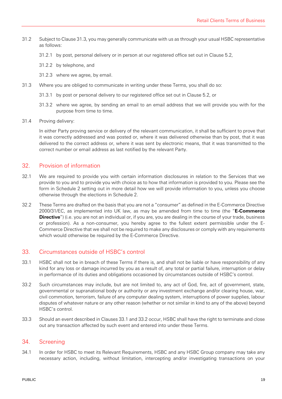- 31.2 Subject to Clause 31.3, you may generally communicate with us as through your usual HSBC representative as follows:
	- 31.2.1 by post, personal delivery or in person at our registered office set out in Clause 5.2,
	- 31.2.2 by telephone, and
	- 31.2.3 where we agree, by email.
- 31.3 Where you are obliged to communicate in writing under these Terms, you shall do so:
	- 31.3.1 by post or personal delivery to our registered office set out in Clause 5.2, or
	- 31.3.2 where we agree, by sending an email to an email address that we will provide you with for the purpose from time to time.
- 31.4 Proving delivery:

In either Party proving service or delivery of the relevant communication, it shall be sufficient to prove that it was correctly addressed and was posted or, where it was delivered otherwise than by post, that it was delivered to the correct address or, where it was sent by electronic means, that it was transmitted to the correct number or email address as last notified by the relevant Party.

# 32. Provision of information

- 32.1 We are required to provide you with certain information disclosures in relation to the Services that we provide to you and to provide you with choice as to how that information is provided to you. Please see the form in Schedule 2 setting out in more detail how we will provide information to you, unless you choose otherwise through the elections in Schedule 2.
- 32.2 These Terms are drafted on the basis that you are not a "consumer" as defined in the E-Commerce Directive 2000/31/EC, as implemented into UK law, as may be amended from time to time (the "**E-Commerce Directive**") (i.e. you are not an individual or, if you are, you are dealing in the course of your trade, business or profession). As a non-consumer, you hereby agree to the fullest extent permissible under the E-Commerce Directive that we shall not be required to make any disclosures or comply with any requirements which would otherwise be required by the E-Commerce Directive.

#### 33. Circumstances outside of HSBC's control

- 33.1 HSBC shall not be in breach of these Terms if there is, and shall not be liable or have responsibility of any kind for any loss or damage incurred by you as a result of, any total or partial failure, interruption or delay in performance of its duties and obligations occasioned by circumstances outside of HSBC's control.
- 33.2 Such circumstances may include, but are not limited to, any act of God, fire, act of government, state, governmental or supranational body or authority or any investment exchange and/or clearing house, war, civil commotion, terrorism, failure of any computer dealing system, interruptions of power supplies, labour disputes of whatever nature or any other reason (whether or not similar in kind to any of the above) beyond HSBC's control.
- 33.3 Should an event described in Clauses 33.1 and 33.2 occur, HSBC shall have the right to terminate and close out any transaction affected by such event and entered into under these Terms.

#### 34. Screening

34.1 In order for HSBC to meet its Relevant Requirements, HSBC and any HSBC Group company may take any necessary action, including, without limitation, intercepting and/or investigating transactions on your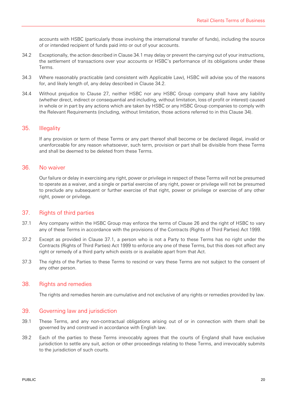accounts with HSBC (particularly those involving the international transfer of funds), including the source of or intended recipient of funds paid into or out of your accounts.

- 34.2 Exceptionally, the action described in Clause 34.1 may delay or prevent the carrying out of your instructions, the settlement of transactions over your accounts or HSBC's performance of its obligations under these Terms.
- 34.3 Where reasonably practicable (and consistent with Applicable Law), HSBC will advise you of the reasons for, and likely length of, any delay described in Clause 34.2.
- 34.4 Without prejudice to Clause 27, neither HSBC nor any HSBC Group company shall have any liability (whether direct, indirect or consequential and including, without limitation, loss of profit or interest) caused in whole or in part by any actions which are taken by HSBC or any HSBC Group companies to comply with the Relevant Requirements (including, without limitation, those actions referred to in this Clause 34).

#### 35. Illegality

If any provision or term of these Terms or any part thereof shall become or be declared illegal, invalid or unenforceable for any reason whatsoever, such term, provision or part shall be divisible from these Terms and shall be deemed to be deleted from these Terms.

#### 36. No waiver

Our failure or delay in exercising any right, power or privilege in respect of these Terms will not be presumed to operate as a waiver, and a single or partial exercise of any right, power or privilege will not be presumed to preclude any subsequent or further exercise of that right, power or privilege or exercise of any other right, power or privilege.

#### 37. Rights of third parties

- 37.1 Any company within the HSBC Group may enforce the terms of Clause 26 and the right of HSBC to vary any of these Terms in accordance with the provisions of the Contracts (Rights of Third Parties) Act 1999.
- 37.2 Except as provided in Clause 37.1, a person who is not a Party to these Terms has no right under the Contracts (Rights of Third Parties) Act 1999 to enforce any one of these Terms, but this does not affect any right or remedy of a third party which exists or is available apart from that Act.
- 37.3 The rights of the Parties to these Terms to rescind or vary these Terms are not subject to the consent of any other person.

#### 38. Rights and remedies

The rights and remedies herein are cumulative and not exclusive of any rights or remedies provided by law.

#### 39. Governing law and jurisdiction

- 39.1 These Terms, and any non-contractual obligations arising out of or in connection with them shall be governed by and construed in accordance with English law.
- 39.2 Each of the parties to these Terms irrevocably agrees that the courts of England shall have exclusive jurisdiction to settle any suit, action or other proceedings relating to these Terms, and irrevocably submits to the jurisdiction of such courts.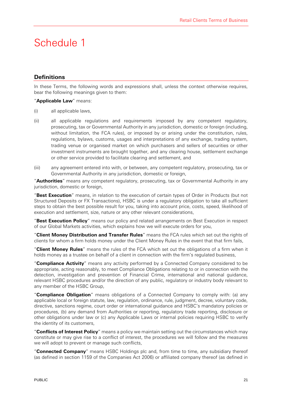# Schedule 1

# **Definitions**

In these Terms, the following words and expressions shall, unless the context otherwise requires, bear the following meanings given to them:

#### "**Applicable Law**" means:

- (i) all applicable laws,
- (ii) all applicable regulations and requirements imposed by any competent regulatory, prosecuting, tax or Governmental Authority in any jurisdiction, domestic or foreign (including, without limitation, the FCA rules), or imposed by or arising under the constitution, rules, regulations, bylaws, customs, usages and interpretations of any exchange, trading system, trading venue or organised market on which purchasers and sellers of securities or other investment instruments are brought together, and any clearing house, settlement exchange or other service provided to facilitate clearing and settlement, and
- (iii) any agreement entered into with, or between, any competent regulatory, prosecuting, tax or Governmental Authority in any jurisdiction, domestic or foreign,

"**Authorities**" means any competent regulatory, prosecuting, tax or Governmental Authority in any jurisdiction, domestic or foreign,

"**Best Execution**" means, in relation to the execution of certain types of Order in Products (but not Structured Deposits or FX Transactions), HSBC is under a regulatory obligation to take all sufficient steps to obtain the best possible result for you, taking into account price, costs, speed, likelihood of execution and settlement, size, nature or any other relevant considerations,

"**Best Execution Policy**" means our policy and related arrangements on Best Execution in respect of our Global Markets activities, which explains how we will execute orders for you,

"**Client Money Distribution and Transfer Rules**" means the FCA rules which set out the rights of clients for whom a firm holds money under the Client Money Rules in the event that that firm fails,

"**Client Money Rules**" means the rules of the FCA which set out the obligations of a firm when it holds money as a trustee on behalf of a client in connection with the firm's regulated business,

"**Compliance Activity**" means any activity performed by a Connected Company considered to be appropriate, acting reasonably, to meet Compliance Obligations relating to or in connection with the detection, investigation and prevention of Financial Crime, international and national guidance, relevant HSBC procedures and/or the direction of any public, regulatory or industry body relevant to any member of the HSBC Group,

"**Compliance Obligation**" means obligations of a Connected Company to comply with: (a) any applicable local or foreign statute, law, regulation, ordinance, rule, judgment, decree, voluntary code, directive, sanctions regime, court order or international guidance and HSBC's mandatory policies or procedures, (b) any demand from Authorities or reporting, regulatory trade reporting, disclosure or other obligations under law or (c) any Applicable Laws or internal policies requiring HSBC to verify the identity of its customers,

"**Conflicts of Interest Policy**" means a policy we maintain setting out the circumstances which may constitute or may give rise to a conflict of interest, the procedures we will follow and the measures we will adopt to prevent or manage such conflicts,

"**Connected Company**" means HSBC Holdings plc and, from time to time, any subsidiary thereof (as defined in section 1159 of the Companies Act 2006) or affiliated company thereof (as defined in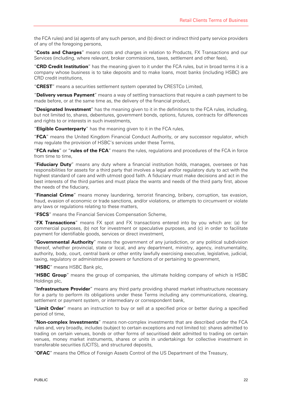the FCA rules) and (a) agents of any such person, and (b) direct or indirect third party service providers of any of the foregoing persons,

"**Costs and Charges**" means costs and charges in relation to Products, FX Transactions and our Services (including, where relevant, broker commissions, taxes, settlement and other fees),

"**CRD Credit Institution**" has the meaning given to it under the FCA rules, but in broad terms it is a company whose business is to take deposits and to make loans, most banks (including HSBC) are CRD credit institutions,

"**CREST**" means a securities settlement system operated by CRESTCo Limited,

"**Delivery versus Payment**" means a way of settling transactions that require a cash payment to be made before, or at the same time as, the delivery of the financial product,

"**Designated Investment**" has the meaning given to it in the definitions to the FCA rules, including, but not limited to, shares, debentures, government bonds, options, futures, contracts for differences and rights to or interests in such investments,

"**Eligible Counterparty**" has the meaning given to it in the FCA rules,

"**FCA**" means the United Kingdom Financial Conduct Authority, or any successor regulator, which may regulate the provision of HSBC's services under these Terms,

"**FCA rules**" or "**rules of the FCA**" means the rules, regulations and procedures of the FCA in force from time to time,

"**Fiduciary Duty**" means any duty where a financial institution holds, manages, oversees or has responsibilities for assets for a third party that involves a legal and/or regulatory duty to act with the highest standard of care and with utmost good faith. A fiduciary must make decisions and act in the best interests of the third parties and must place the wants and needs of the third party first, above the needs of the fiduciary,

"**Financial Crime**" means money laundering, terrorist financing, bribery, corruption, tax evasion, fraud, evasion of economic or trade sanctions, and/or violations, or attempts to circumvent or violate any laws or regulations relating to these matters,

"**FSCS**" means the Financial Services Compensation Scheme,

"**FX Transactions**" means FX spot and FX transactions entered into by you which are: (a) for commercial purposes, (b) not for investment or speculative purposes, and (c) in order to facilitate payment for identifiable goods, services or direct investment,

"**Governmental Authority**" means the government of any jurisdiction, or any political subdivision thereof, whether provincial, state or local, and any department, ministry, agency, instrumentality, authority, body, court, central bank or other entity lawfully exercising executive, legislative, judicial, taxing, regulatory or administrative powers or functions of or pertaining to government,

"**HSBC**" means HSBC Bank plc,

"**HSBC Group**" means the group of companies, the ultimate holding company of which is HSBC Holdings plc,

"**Infrastructure Provider**" means any third party providing shared market infrastructure necessary for a party to perform its obligations under these Terms including any communications, clearing, settlement or payment system, or intermediary or correspondent bank,

"**Limit Order**" means an instruction to buy or sell at a specified price or better during a specified period of time,

"**Non-complex Investments**" means non-complex investments that are described under the FCA rules and, very broadly, includes (subject to certain exceptions and not limited to): shares admitted to trading on certain venues, bonds or other forms of securitised debt admitted to trading on certain venues, money market instruments, shares or units in undertakings for collective investment in transferable securities (UCITS), and structured deposits,

"**OFAC**" means the Office of Foreign Assets Control of the US Department of the Treasury,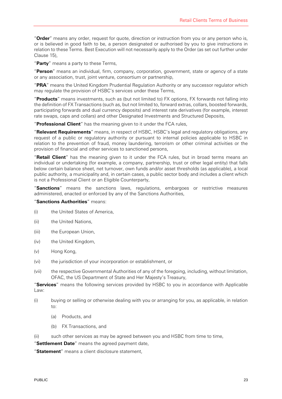"**Order**" means any order, request for quote, direction or instruction from you or any person who is, or is believed in good faith to be, a person designated or authorised by you to give instructions in relation to these Terms. Best Execution will not necessarily apply to the Order (as set out further under Clause 15),

"**Party**" means a party to these Terms,

"**Person**" means an individual, firm, company, corporation, government, state or agency of a state or any association, trust, joint venture, consortium or partnership,

"**PRA**" means the United Kingdom Prudential Regulation Authority or any successor regulator which may regulate the provision of HSBC's services under these Terms,

"**Products**" means investments, such as (but not limited to) FX options, FX forwards not falling into the definition of FX Transactions (such as, but not limited to, forward extras, collars, boosted forwards, participating forwards and dual currency deposits) and interest rate derivatives (for example, interest rate swaps, caps and collars) and other Designated Investments and Structured Deposits,

"**Professional Client**" has the meaning given to it under the FCA rules,

"**Relevant Requirements**" means, in respect of HSBC, HSBC's legal and regulatory obligations, any request of a public or regulatory authority or pursuant to internal policies applicable to HSBC in relation to the prevention of fraud, money laundering, terrorism or other criminal activities or the provision of financial and other services to sanctioned persons,

"**Retail Client**" has the meaning given to it under the FCA rules, but in broad terms means an individual or undertaking (for example, a company, partnership, trust or other legal entity) that falls below certain balance sheet, net turnover, own funds and/or asset thresholds (as applicable), a local public authority, a municipality and, in certain cases, a public sector body and includes a client which is not a Professional Client or an Eligible Counterparty,

"**Sanctions**" means the sanctions laws, regulations, embargoes or restrictive measures administered, enacted or enforced by any of the Sanctions Authorities,

#### "**Sanctions Authorities**" means:

- (i) the United States of America,
- (ii) the United Nations,
- (iii) the European Union,
- (iv) the United Kingdom,
- (v) Hong Kong,
- (vi) the jurisdiction of your incorporation or establishment, or
- (vii) the respective Governmental Authorities of any of the foregoing, including, without limitation, OFAC, the US Department of State and Her Majesty's Treasury,

"**Services**" means the following services provided by HSBC to you in accordance with Applicable Law:

- (i) buying or selling or otherwise dealing with you or arranging for you, as applicable, in relation to:
	- (a) Products, and
	- (b) FX Transactions, and
- (ii) such other services as may be agreed between you and HSBC from time to time,

"**Settlement Date**" means the agreed payment date,

"**Statement**" means a client disclosure statement,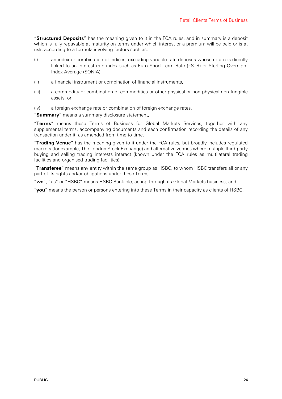"**Structured Deposits**" has the meaning given to it in the FCA rules, and in summary is a deposit which is fully repayable at maturity on terms under which interest or a premium will be paid or is at risk, according to a formula involving factors such as:

- (i) an index or combination of indices, excluding variable rate deposits whose return is directly linked to an interest rate index such as Euro Short-Term Rate (€STR) or Sterling Overnight Index Average (SONIA),
- (ii) a financial instrument or combination of financial instruments,
- (iii) a commodity or combination of commodities or other physical or non-physical non-fungible assets, or
- (iv) a foreign exchange rate or combination of foreign exchange rates,

"**Summary**" means a summary disclosure statement,

"**Terms**" means these Terms of Business for Global Markets Services, together with any supplemental terms, accompanying documents and each confirmation recording the details of any transaction under it, as amended from time to time,

"**Trading Venue**" has the meaning given to it under the FCA rules, but broadly includes regulated markets (for example, The London Stock Exchange) and alternative venues where multiple third-party buying and selling trading interests interact (known under the FCA rules as multilateral trading facilities and organised trading facilities),

"**Transferee**" means any entity within the same group as HSBC, to whom HSBC transfers all or any part of its rights and/or obligations under these Terms,

"**we**", "us" or "HSBC" means HSBC Bank plc, acting through its Global Markets business, and

"**you**" means the person or persons entering into these Terms in their capacity as clients of HSBC.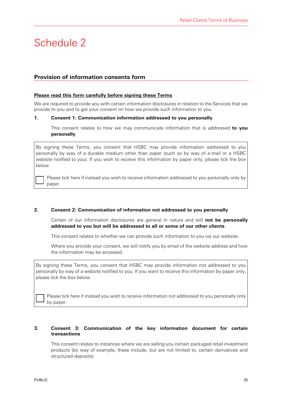# Schedule 2

### **Provision of information consents form**

#### **Please read this form carefully before signing these Terms**

We are required to provide you with certain information disclosures in relation to the Services that we provide to you and to get your consent on how we provide such information to you.

#### **1. Consent 1: Communication information addressed to you personally**

This consent relates to how we may communicate information that is addressed **to you personally**.

By signing these Terms, you consent that HSBC may provide information addressed to you personally by way of a durable medium other than paper (such as by way of e-mail or a HSBC website notified to you). If you wish to receive this information by paper only, please tick the box below.

Please tick here if instead you wish to receive information addressed to you personally only by paper.

#### **2. Consent 2: Communication of information not addressed to you personally**

Certain of our information disclosures are general in nature and will **not be personally addressed to you but will be addressed to all or some of our other clients**.

This consent relates to whether we can provide such information to you via our website.

Where you provide your consent, we will notify you by email of the website address and how the information may be accessed.

By signing these Terms, you consent that HSBC may provide information not addressed to you personally by way of a website notified to you. If you want to receive this information by paper only, please tick the box below.

Please tick here if instead you wish to receive information not addressed to you personally only by paper.

#### **3. Consent 3: Communication of the key information document for certain transactions**

This consent relates to instances where we are selling you certain packaged retail investment products (by way of example, these include, but are not limited to, certain derivatives and structured deposits).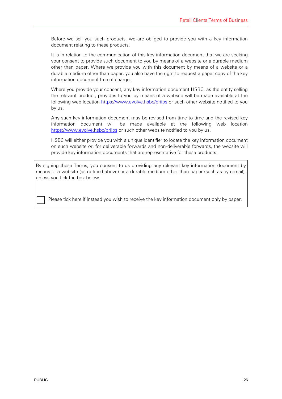Before we sell you such products, we are obliged to provide you with a key information document relating to these products.

It is in relation to the communication of this key information document that we are seeking your consent to provide such document to you by means of a website or a durable medium other than paper. Where we provide you with this document by means of a website or a durable medium other than paper, you also have the right to request a paper copy of the key information document free of charge.

Where you provide your consent, any key information document HSBC, as the entity selling the relevant product, provides to you by means of a website will be made available at the following web location https://www.evolve.hsbc/priips or such other website notified to you by us.

Any such key information document may be revised from time to time and the revised key information document will be made available at the following web location https://www.evolve.hsbc/priips or such other website notified to you by us.

HSBC will either provide you with a unique identifier to locate the key information document on such website or, for deliverable forwards and non-deliverable forwards, the website will provide key information documents that are representative for these products.

By signing these Terms, you consent to us providing any relevant key information document by means of a website (as notified above) or a durable medium other than paper (such as by e-mail), unless you tick the box below.

Please tick here if instead you wish to receive the key information document only by paper.